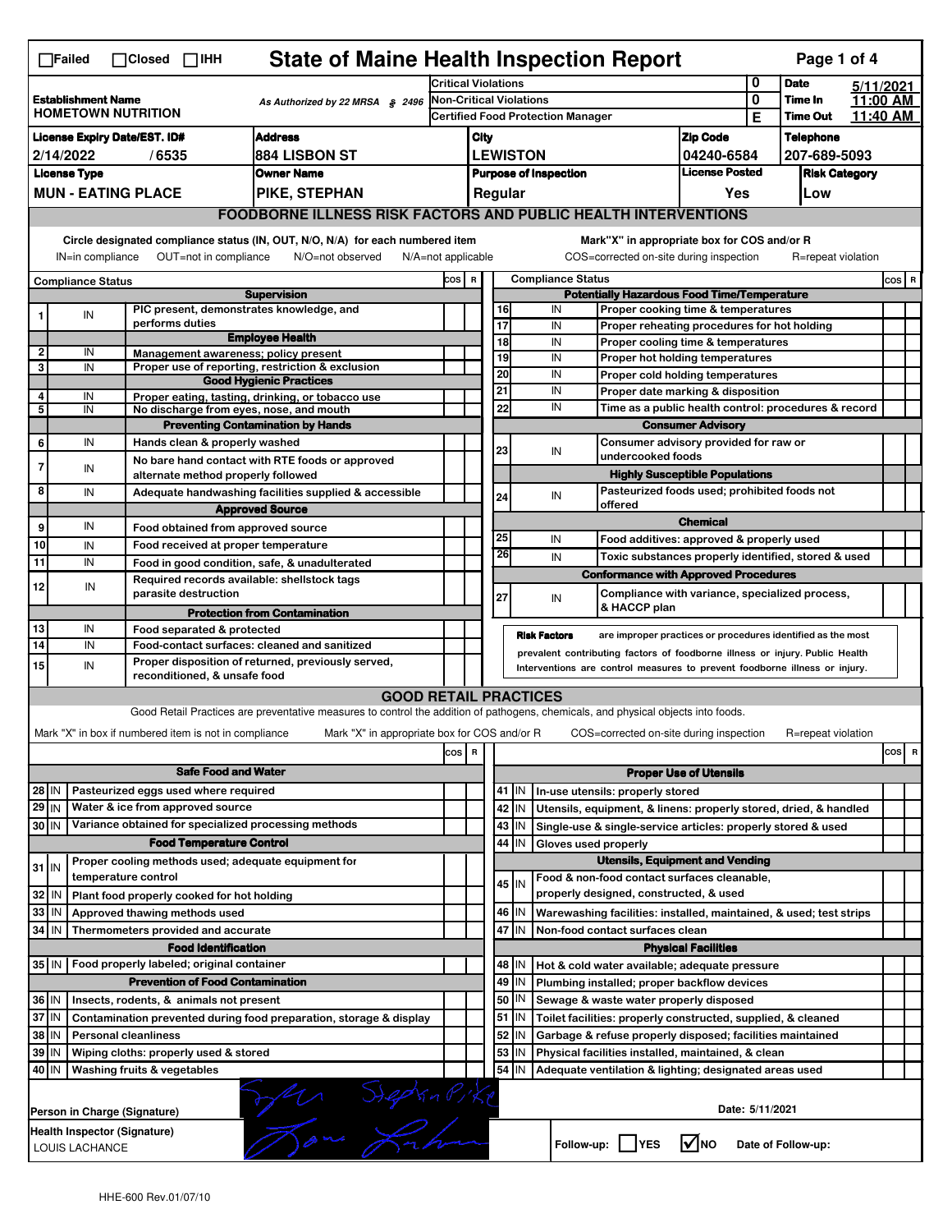| <b>State of Maine Health Inspection Report</b><br>Page 1 of 4<br>$\Box$ Failed<br>$\Box$ Closed $\Box$ IHH                                                            |                                                   |                              |                                                       |                                                                                                                                   |                                                                              |                                                                  |                                                          |         |                                                                            |                                                                                        |                      |                 |                                             |           |       |   |  |
|-----------------------------------------------------------------------------------------------------------------------------------------------------------------------|---------------------------------------------------|------------------------------|-------------------------------------------------------|-----------------------------------------------------------------------------------------------------------------------------------|------------------------------------------------------------------------------|------------------------------------------------------------------|----------------------------------------------------------|---------|----------------------------------------------------------------------------|----------------------------------------------------------------------------------------|----------------------|-----------------|---------------------------------------------|-----------|-------|---|--|
|                                                                                                                                                                       |                                                   |                              |                                                       |                                                                                                                                   | <b>Critical Violations</b>                                                   |                                                                  |                                                          |         |                                                                            |                                                                                        |                      | 0               | <b>Date</b>                                 | 5/11/2021 |       |   |  |
| <b>Establishment Name</b><br>As Authorized by 22 MRSA § 2496<br><b>HOMETOWN NUTRITION</b>                                                                             |                                                   |                              |                                                       |                                                                                                                                   | <b>Non-Critical Violations</b>                                               |                                                                  |                                                          |         |                                                                            |                                                                                        | 0                    | <b>Time In</b>  | 11:00 AM                                    |           |       |   |  |
|                                                                                                                                                                       |                                                   |                              |                                                       |                                                                                                                                   | Certified Food Protection Manager                                            |                                                                  |                                                          |         |                                                                            |                                                                                        | Е                    | <b>Time Out</b> | 11.40 AM                                    |           |       |   |  |
| <b>Address</b><br><b>License Expiry Date/EST. ID#</b>                                                                                                                 |                                                   |                              |                                                       |                                                                                                                                   |                                                                              | City                                                             |                                                          |         |                                                                            |                                                                                        | <b>Zip Code</b>      |                 | <b>Telephone</b>                            |           |       |   |  |
| 884 LISBON ST<br>2/14/2022<br>/6535                                                                                                                                   |                                                   |                              |                                                       |                                                                                                                                   |                                                                              | <b>LEWISTON</b><br>04240-6584                                    |                                                          |         |                                                                            |                                                                                        | 207-689-5093         |                 |                                             |           |       |   |  |
|                                                                                                                                                                       | <b>License Type</b>                               |                              |                                                       | <b>Owner Name</b>                                                                                                                 |                                                                              | <b>License Posted</b><br><b>Purpose of Inspection</b><br>Regular |                                                          |         |                                                                            |                                                                                        | <b>Risk Category</b> |                 |                                             |           |       |   |  |
| <b>MUN - EATING PLACE</b><br>PIKE, STEPHAN                                                                                                                            |                                                   |                              |                                                       |                                                                                                                                   |                                                                              |                                                                  |                                                          |         |                                                                            |                                                                                        | Yes                  |                 | Low                                         |           |       |   |  |
|                                                                                                                                                                       |                                                   |                              |                                                       | <b>FOODBORNE ILLNESS RISK FACTORS AND PUBLIC HEALTH INTERVENTIONS</b>                                                             |                                                                              |                                                                  |                                                          |         |                                                                            |                                                                                        |                      |                 |                                             |           |       |   |  |
| Circle designated compliance status (IN, OUT, N/O, N/A) for each numbered item<br>OUT=not in compliance<br>IN=in compliance<br>N/O=not observed<br>N/A=not applicable |                                                   |                              |                                                       |                                                                                                                                   |                                                                              |                                                                  |                                                          |         |                                                                            | Mark"X" in appropriate box for COS and/or R<br>COS=corrected on-site during inspection |                      |                 | R=repeat violation                          |           |       |   |  |
| <b>Compliance Status</b>                                                                                                                                              |                                                   |                              |                                                       |                                                                                                                                   |                                                                              | <b>Compliance Status</b><br>COS R                                |                                                          |         |                                                                            |                                                                                        |                      |                 |                                             |           | COS R |   |  |
|                                                                                                                                                                       |                                                   |                              |                                                       | <b>Supervision</b>                                                                                                                |                                                                              |                                                                  | <b>Potentially Hazardous Food Time/Temperature</b>       |         |                                                                            |                                                                                        |                      |                 |                                             |           |       |   |  |
| 1                                                                                                                                                                     | ${\sf IN}$                                        |                              |                                                       | PIC present, demonstrates knowledge, and                                                                                          |                                                                              |                                                                  | 16                                                       |         | IN                                                                         | Proper cooking time & temperatures                                                     |                      |                 |                                             |           |       |   |  |
|                                                                                                                                                                       |                                                   |                              | performs duties                                       | <b>Employee Health</b>                                                                                                            |                                                                              |                                                                  | 17<br>18                                                 |         | IN<br>IN                                                                   |                                                                                        |                      |                 | Proper reheating procedures for hot holding |           |       |   |  |
| 2                                                                                                                                                                     | IN                                                |                              |                                                       | Management awareness: policy present                                                                                              |                                                                              |                                                                  | 19                                                       |         | IN                                                                         | Proper cooling time & temperatures<br>Proper hot holding temperatures                  |                      |                 |                                             |           |       |   |  |
| 3                                                                                                                                                                     | IN                                                |                              |                                                       | Proper use of reporting, restriction & exclusion                                                                                  |                                                                              |                                                                  | 20                                                       |         | IN                                                                         | Proper cold holding temperatures                                                       |                      |                 |                                             |           |       |   |  |
| 4                                                                                                                                                                     |                                                   |                              |                                                       | <b>Good Hygienic Practices</b>                                                                                                    |                                                                              |                                                                  | 21                                                       |         | IN                                                                         | Proper date marking & disposition                                                      |                      |                 |                                             |           |       |   |  |
| 5                                                                                                                                                                     | IN<br>IN                                          |                              |                                                       | Proper eating, tasting, drinking, or tobacco use<br>No discharge from eyes, nose, and mouth                                       |                                                                              |                                                                  | 22                                                       |         | IN                                                                         | Time as a public health control: procedures & record                                   |                      |                 |                                             |           |       |   |  |
|                                                                                                                                                                       |                                                   |                              |                                                       | <b>Preventing Contamination by Hands</b>                                                                                          |                                                                              |                                                                  |                                                          |         |                                                                            | <b>Consumer Advisory</b>                                                               |                      |                 |                                             |           |       |   |  |
| 6                                                                                                                                                                     | IN                                                |                              | Hands clean & properly washed                         |                                                                                                                                   |                                                                              |                                                                  |                                                          |         |                                                                            | Consumer advisory provided for raw or                                                  |                      |                 |                                             |           |       |   |  |
| $\overline{7}$                                                                                                                                                        |                                                   |                              |                                                       | No bare hand contact with RTE foods or approved                                                                                   |                                                                              |                                                                  | 23                                                       |         | IN                                                                         | undercooked foods                                                                      |                      |                 |                                             |           |       |   |  |
|                                                                                                                                                                       | IN                                                |                              | alternate method properly followed                    |                                                                                                                                   |                                                                              |                                                                  |                                                          |         |                                                                            | <b>Highly Susceptible Populations</b>                                                  |                      |                 |                                             |           |       |   |  |
| 8                                                                                                                                                                     | IN                                                |                              |                                                       | Adequate handwashing facilities supplied & accessible                                                                             |                                                                              |                                                                  | 24                                                       |         | IN                                                                         | Pasteurized foods used; prohibited foods not                                           |                      |                 |                                             |           |       |   |  |
|                                                                                                                                                                       |                                                   |                              |                                                       | <b>Approved Source</b>                                                                                                            |                                                                              |                                                                  |                                                          |         |                                                                            | offered                                                                                | <b>Chemical</b>      |                 |                                             |           |       |   |  |
| 9                                                                                                                                                                     | IN                                                |                              | Food obtained from approved source                    |                                                                                                                                   |                                                                              |                                                                  | 25                                                       |         | IN                                                                         |                                                                                        |                      |                 |                                             |           |       |   |  |
| 10                                                                                                                                                                    | IN                                                |                              | Food received at proper temperature                   |                                                                                                                                   |                                                                              |                                                                  | 26                                                       |         |                                                                            | Food additives: approved & properly used                                               |                      |                 |                                             |           |       |   |  |
| 11                                                                                                                                                                    | IN                                                |                              |                                                       | Food in good condition, safe, & unadulterated                                                                                     |                                                                              |                                                                  |                                                          |         | IN                                                                         | Toxic substances properly identified, stored & used                                    |                      |                 |                                             |           |       |   |  |
| 12                                                                                                                                                                    | IN                                                |                              |                                                       | Required records available: shellstock tags                                                                                       |                                                                              |                                                                  |                                                          |         |                                                                            | <b>Conformance with Approved Procedures</b>                                            |                      |                 |                                             |           |       |   |  |
|                                                                                                                                                                       |                                                   |                              | parasite destruction                                  |                                                                                                                                   |                                                                              |                                                                  | 27                                                       |         | IN                                                                         | Compliance with variance, specialized process,<br>& HACCP plan                         |                      |                 |                                             |           |       |   |  |
|                                                                                                                                                                       |                                                   |                              |                                                       | <b>Protection from Contamination</b>                                                                                              |                                                                              |                                                                  |                                                          |         |                                                                            |                                                                                        |                      |                 |                                             |           |       |   |  |
| 13<br>14                                                                                                                                                              | IN<br>IN                                          |                              | Food separated & protected                            | Food-contact surfaces: cleaned and sanitized                                                                                      |                                                                              |                                                                  |                                                          |         | <b>Risk Factors</b>                                                        | are improper practices or procedures identified as the most                            |                      |                 |                                             |           |       |   |  |
| 15                                                                                                                                                                    | IN                                                |                              |                                                       | Proper disposition of returned, previously served,                                                                                | prevalent contributing factors of foodborne illness or injury. Public Health |                                                                  |                                                          |         |                                                                            |                                                                                        |                      |                 |                                             |           |       |   |  |
|                                                                                                                                                                       |                                                   |                              | reconditioned, & unsafe food                          |                                                                                                                                   |                                                                              |                                                                  |                                                          |         | Interventions are control measures to prevent foodborne illness or injury. |                                                                                        |                      |                 |                                             |           |       |   |  |
|                                                                                                                                                                       |                                                   |                              |                                                       | <b>GOOD RETAIL PRACTICES</b>                                                                                                      |                                                                              |                                                                  |                                                          |         |                                                                            |                                                                                        |                      |                 |                                             |           |       |   |  |
|                                                                                                                                                                       |                                                   |                              |                                                       | Good Retail Practices are preventative measures to control the addition of pathogens, chemicals, and physical objects into foods. |                                                                              |                                                                  |                                                          |         |                                                                            |                                                                                        |                      |                 |                                             |           |       |   |  |
|                                                                                                                                                                       |                                                   |                              | Mark "X" in box if numbered item is not in compliance | Mark "X" in appropriate box for COS and/or R                                                                                      |                                                                              |                                                                  |                                                          |         |                                                                            | COS=corrected on-site during inspection                                                |                      |                 | R=repeat violation                          |           |       |   |  |
|                                                                                                                                                                       |                                                   |                              |                                                       |                                                                                                                                   | cos                                                                          | $\overline{\mathbf{R}}$                                          |                                                          |         |                                                                            |                                                                                        |                      |                 |                                             |           | cos   | R |  |
| <b>Safe Food and Water</b>                                                                                                                                            |                                                   |                              |                                                       |                                                                                                                                   |                                                                              |                                                                  | <b>Proper Use of Utensils</b>                            |         |                                                                            |                                                                                        |                      |                 |                                             |           |       |   |  |
| Pasteurized eggs used where required<br>28 IN                                                                                                                         |                                                   |                              |                                                       |                                                                                                                                   |                                                                              |                                                                  | 41 J IN<br>In-use utensils: properly stored              |         |                                                                            |                                                                                        |                      |                 |                                             |           |       |   |  |
| Water & ice from approved source<br>$29$ IN                                                                                                                           |                                                   |                              |                                                       |                                                                                                                                   |                                                                              |                                                                  |                                                          | 42 IN   | Utensils, equipment, & linens: properly stored, dried, & handled           |                                                                                        |                      |                 |                                             |           |       |   |  |
| 30 IN                                                                                                                                                                 |                                                   |                              |                                                       | Variance obtained for specialized processing methods                                                                              |                                                                              |                                                                  |                                                          | 43   IN | Single-use & single-service articles: properly stored & used               |                                                                                        |                      |                 |                                             |           |       |   |  |
| <b>Food Temperature Control</b>                                                                                                                                       |                                                   |                              |                                                       |                                                                                                                                   |                                                                              |                                                                  | 44                                                       | IN      | Gloves used properly                                                       |                                                                                        |                      |                 |                                             |           |       |   |  |
|                                                                                                                                                                       |                                                   |                              |                                                       | Proper cooling methods used; adequate equipment for                                                                               |                                                                              |                                                                  |                                                          |         |                                                                            | <b>Utensils, Equipment and Vending</b>                                                 |                      |                 |                                             |           |       |   |  |
| $31$ IN                                                                                                                                                               |                                                   | temperature control          |                                                       |                                                                                                                                   |                                                                              |                                                                  |                                                          | $45$ IN | Food & non-food contact surfaces cleanable,                                |                                                                                        |                      |                 |                                             |           |       |   |  |
| 32                                                                                                                                                                    | IN                                                |                              | Plant food properly cooked for hot holding            |                                                                                                                                   |                                                                              |                                                                  |                                                          |         | properly designed, constructed, & used                                     |                                                                                        |                      |                 |                                             |           |       |   |  |
| 33                                                                                                                                                                    | IN                                                |                              | Approved thawing methods used                         |                                                                                                                                   |                                                                              |                                                                  |                                                          | 46 IN   | Warewashing facilities: installed, maintained, & used; test strips         |                                                                                        |                      |                 |                                             |           |       |   |  |
| 34                                                                                                                                                                    | l IN                                              |                              | Thermometers provided and accurate                    |                                                                                                                                   |                                                                              |                                                                  |                                                          | 47 I IN | Non-food contact surfaces clean                                            |                                                                                        |                      |                 |                                             |           |       |   |  |
|                                                                                                                                                                       |                                                   |                              | <b>Food Identification</b>                            |                                                                                                                                   |                                                                              | <b>Physical Facilities</b>                                       |                                                          |         |                                                                            |                                                                                        |                      |                 |                                             |           |       |   |  |
|                                                                                                                                                                       | 35 IN   Food properly labeled; original container |                              |                                                       |                                                                                                                                   |                                                                              |                                                                  | 48   IN<br>Hot & cold water available; adequate pressure |         |                                                                            |                                                                                        |                      |                 |                                             |           |       |   |  |
|                                                                                                                                                                       |                                                   |                              | <b>Prevention of Food Contamination</b>               |                                                                                                                                   |                                                                              |                                                                  | 49                                                       | IN      | Plumbing installed; proper backflow devices                                |                                                                                        |                      |                 |                                             |           |       |   |  |
| 36 IN                                                                                                                                                                 |                                                   |                              | Insects, rodents, & animals not present               |                                                                                                                                   |                                                                              |                                                                  | 50                                                       | IN      | Sewage & waste water properly disposed                                     |                                                                                        |                      |                 |                                             |           |       |   |  |
| 37 IN                                                                                                                                                                 |                                                   |                              |                                                       | Contamination prevented during food preparation, storage & display                                                                |                                                                              |                                                                  | 51                                                       | IN.     | Toilet facilities: properly constructed, supplied, & cleaned               |                                                                                        |                      |                 |                                             |           |       |   |  |
| 38<br>ΙM<br><b>Personal cleanliness</b>                                                                                                                               |                                                   |                              |                                                       |                                                                                                                                   |                                                                              |                                                                  | 52                                                       | IN      | Garbage & refuse properly disposed; facilities maintained                  |                                                                                        |                      |                 |                                             |           |       |   |  |
| 39<br>ΙM<br>Wiping cloths: properly used & stored                                                                                                                     |                                                   |                              |                                                       |                                                                                                                                   |                                                                              |                                                                  | 53                                                       | IN      | Physical facilities installed, maintained, & clean                         |                                                                                        |                      |                 |                                             |           |       |   |  |
| 54   IN<br>40 IN<br>Washing fruits & vegetables<br>Adequate ventilation & lighting; designated areas used                                                             |                                                   |                              |                                                       |                                                                                                                                   |                                                                              |                                                                  |                                                          |         |                                                                            |                                                                                        |                      |                 |                                             |           |       |   |  |
|                                                                                                                                                                       |                                                   | Person in Charge (Signature) |                                                       |                                                                                                                                   |                                                                              |                                                                  |                                                          |         |                                                                            |                                                                                        |                      | Date: 5/11/2021 |                                             |           |       |   |  |
|                                                                                                                                                                       | LOUIS LACHANCE                                    | Health Inspector (Signature) |                                                       | Jen SiegenPike                                                                                                                    |                                                                              |                                                                  |                                                          |         |                                                                            | Follow-up: YES                                                                         | $\sqrt{ }$ NO        |                 | Date of Follow-up:                          |           |       |   |  |
|                                                                                                                                                                       |                                                   |                              |                                                       |                                                                                                                                   |                                                                              |                                                                  |                                                          |         |                                                                            |                                                                                        |                      |                 |                                             |           |       |   |  |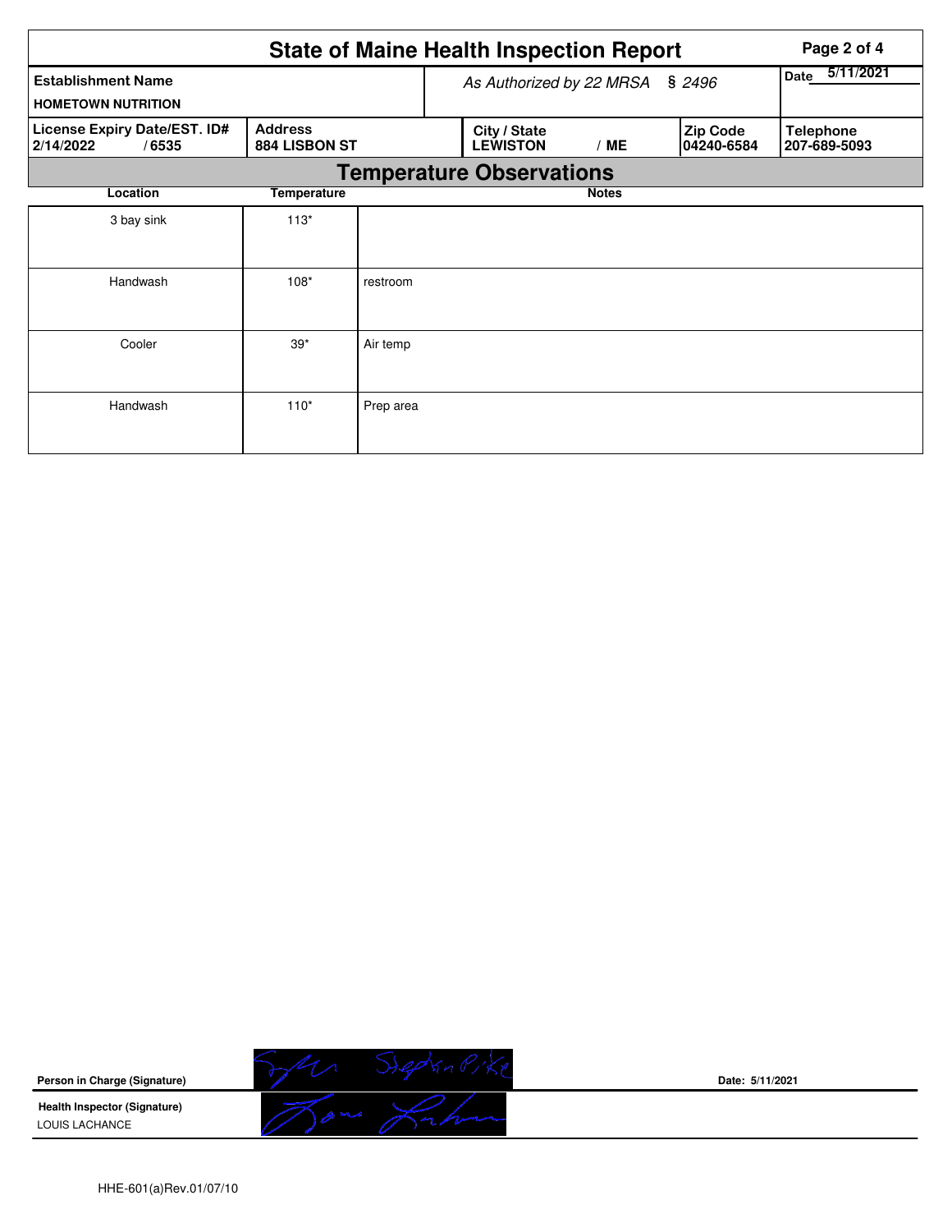|                                                        | Page 2 of 4                     |           |              |                                 |                   |                                |                                  |  |  |  |  |
|--------------------------------------------------------|---------------------------------|-----------|--------------|---------------------------------|-------------------|--------------------------------|----------------------------------|--|--|--|--|
| <b>Establishment Name</b><br><b>HOMETOWN NUTRITION</b> |                                 |           |              | As Authorized by 22 MRSA        | 5/11/2021<br>Date |                                |                                  |  |  |  |  |
| License Expiry Date/EST. ID#<br>2/14/2022<br>/6535     | <b>Address</b><br>884 LISBON ST |           |              | City / State<br><b>LEWISTON</b> | /ME               | <b>Zip Code</b><br> 04240-6584 | <b>Telephone</b><br>207-689-5093 |  |  |  |  |
| <b>Temperature Observations</b>                        |                                 |           |              |                                 |                   |                                |                                  |  |  |  |  |
| Location                                               |                                 |           | <b>Notes</b> |                                 |                   |                                |                                  |  |  |  |  |
| 3 bay sink                                             | $113*$                          |           |              |                                 |                   |                                |                                  |  |  |  |  |
| Handwash                                               | $108*$                          | restroom  |              |                                 |                   |                                |                                  |  |  |  |  |
| Cooler                                                 | $39*$                           | Air temp  |              |                                 |                   |                                |                                  |  |  |  |  |
| Handwash                                               | $110*$                          | Prep area |              |                                 |                   |                                |                                  |  |  |  |  |



**Date: 5/11/2021**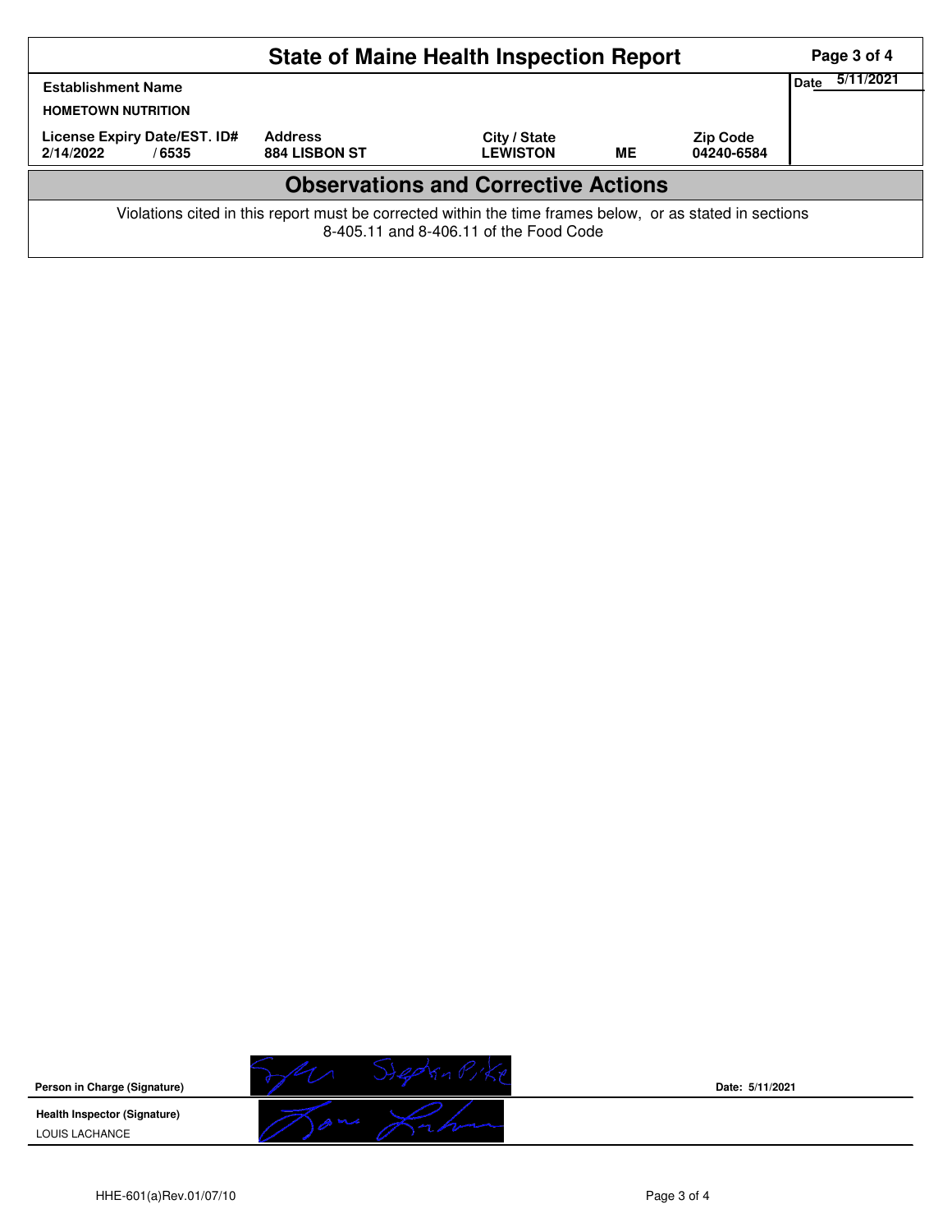| <b>State of Maine Health Inspection Report</b>                                                                                                     |                                        |                                 |           |                               |  |  |  |  |
|----------------------------------------------------------------------------------------------------------------------------------------------------|----------------------------------------|---------------------------------|-----------|-------------------------------|--|--|--|--|
| Date<br><b>Establishment Name</b><br><b>HOMETOWN NUTRITION</b>                                                                                     |                                        |                                 |           |                               |  |  |  |  |
| License Expiry Date/EST. ID#<br>2/14/2022<br>/6535                                                                                                 | <b>Address</b><br><b>884 LISBON ST</b> | City / State<br><b>LEWISTON</b> | <b>ME</b> | <b>Zip Code</b><br>04240-6584 |  |  |  |  |
| <b>Observations and Corrective Actions</b>                                                                                                         |                                        |                                 |           |                               |  |  |  |  |
| Violations cited in this report must be corrected within the time frames below, or as stated in sections<br>8-405.11 and 8-406.11 of the Food Code |                                        |                                 |           |                               |  |  |  |  |



**Date: 5/11/2021**

HHE-601(a)Rev.01/07/10 Page 3 of 4